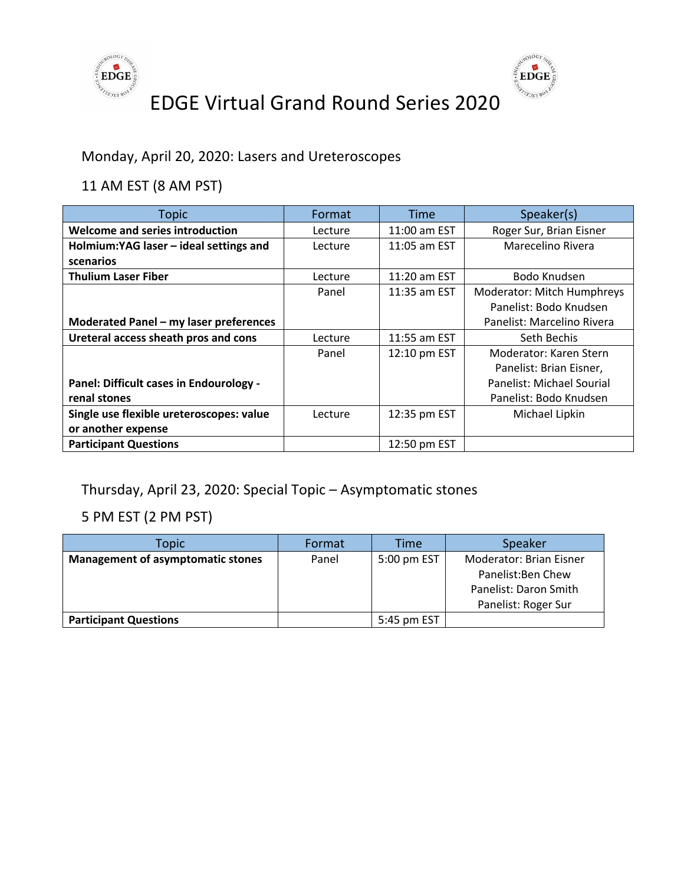



Monday, April 20, 2020: Lasers and Ureteroscopes

11 AM EST (8 AM PST)

| <b>Topic</b>                             | Format  | Time           | Speaker(s)                 |
|------------------------------------------|---------|----------------|----------------------------|
| Welcome and series introduction          | Lecture | 11:00 am EST   | Roger Sur, Brian Eisner    |
| Holmium:YAG laser - ideal settings and   | Lecture | 11:05 am EST   | Marecelino Rivera          |
| scenarios                                |         |                |                            |
| <b>Thulium Laser Fiber</b>               | Lecture | 11:20 am EST   | Bodo Knudsen               |
|                                          | Panel   | $11:35$ am EST | Moderator: Mitch Humphreys |
|                                          |         |                | Panelist: Bodo Knudsen     |
| Moderated Panel - my laser preferences   |         |                | Panelist: Marcelino Rivera |
| Ureteral access sheath pros and cons     | Lecture | 11:55 am EST   | Seth Bechis                |
|                                          | Panel   | 12:10 pm EST   | Moderator: Karen Stern     |
|                                          |         |                | Panelist: Brian Eisner,    |
| Panel: Difficult cases in Endourology -  |         |                | Panelist: Michael Sourial  |
| renal stones                             |         |                | Panelist: Bodo Knudsen     |
| Single use flexible ureteroscopes: value | Lecture | 12:35 pm EST   | Michael Lipkin             |
| or another expense                       |         |                |                            |
| <b>Participant Questions</b>             |         | 12:50 pm EST   |                            |

Thursday, April 23, 2020: Special Topic – Asymptomatic stones

| Topic                                    | Format | Time        | Speaker                 |
|------------------------------------------|--------|-------------|-------------------------|
| <b>Management of asymptomatic stones</b> | Panel  | 5:00 pm EST | Moderator: Brian Eisner |
|                                          |        |             | Panelist: Ben Chew      |
|                                          |        |             | Panelist: Daron Smith   |
|                                          |        |             | Panelist: Roger Sur     |
| <b>Participant Questions</b>             |        | 5:45 pm EST |                         |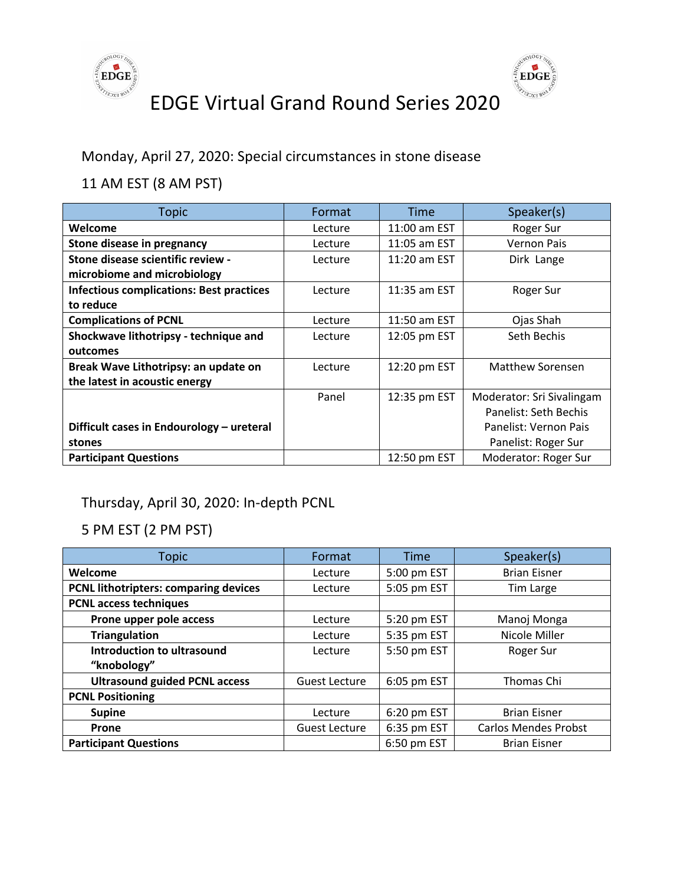



Monday, April 27, 2020: Special circumstances in stone disease

#### 11 AM EST (8 AM PST)

| <b>Topic</b>                                    | Format  | <b>Time</b>  | Speaker(s)                |
|-------------------------------------------------|---------|--------------|---------------------------|
| Welcome                                         | Lecture | 11:00 am EST | Roger Sur                 |
| Stone disease in pregnancy                      | Lecture | 11:05 am EST | <b>Vernon Pais</b>        |
| Stone disease scientific review -               | Lecture | 11:20 am EST | Dirk Lange                |
| microbiome and microbiology                     |         |              |                           |
| <b>Infectious complications: Best practices</b> | Lecture | 11:35 am EST | Roger Sur                 |
| to reduce                                       |         |              |                           |
| <b>Complications of PCNL</b>                    | Lecture | 11:50 am EST | Ojas Shah                 |
| Shockwave lithotripsy - technique and           | Lecture | 12:05 pm EST | Seth Bechis               |
| outcomes                                        |         |              |                           |
| Break Wave Lithotripsy: an update on            | Lecture | 12:20 pm EST | Matthew Sorensen          |
| the latest in acoustic energy                   |         |              |                           |
|                                                 | Panel   | 12:35 pm EST | Moderator: Sri Sivalingam |
|                                                 |         |              | Panelist: Seth Bechis     |
| Difficult cases in Endourology - ureteral       |         |              | Panelist: Vernon Pais     |
| stones                                          |         |              | Panelist: Roger Sur       |
| <b>Participant Questions</b>                    |         | 12:50 pm EST | Moderator: Roger Sur      |

#### Thursday, April 30, 2020: In-depth PCNL

| <b>Topic</b>                                 | Format               | <b>Time</b> | Speaker(s)                  |
|----------------------------------------------|----------------------|-------------|-----------------------------|
| Welcome                                      | Lecture              | 5:00 pm EST | <b>Brian Eisner</b>         |
| <b>PCNL lithotripters: comparing devices</b> | Lecture              | 5:05 pm EST | Tim Large                   |
| <b>PCNL access techniques</b>                |                      |             |                             |
| Prone upper pole access                      | Lecture              | 5:20 pm EST | Manoj Monga                 |
| <b>Triangulation</b>                         | Lecture              | 5:35 pm EST | Nicole Miller               |
| Introduction to ultrasound                   | Lecture              | 5:50 pm EST | Roger Sur                   |
| "knobology"                                  |                      |             |                             |
| <b>Ultrasound guided PCNL access</b>         | <b>Guest Lecture</b> | 6:05 pm EST | Thomas Chi                  |
| <b>PCNL Positioning</b>                      |                      |             |                             |
| <b>Supine</b>                                | Lecture              | 6:20 pm EST | <b>Brian Eisner</b>         |
| <b>Prone</b>                                 | <b>Guest Lecture</b> | 6:35 pm EST | <b>Carlos Mendes Probst</b> |
| <b>Participant Questions</b>                 |                      | 6:50 pm EST | <b>Brian Eisner</b>         |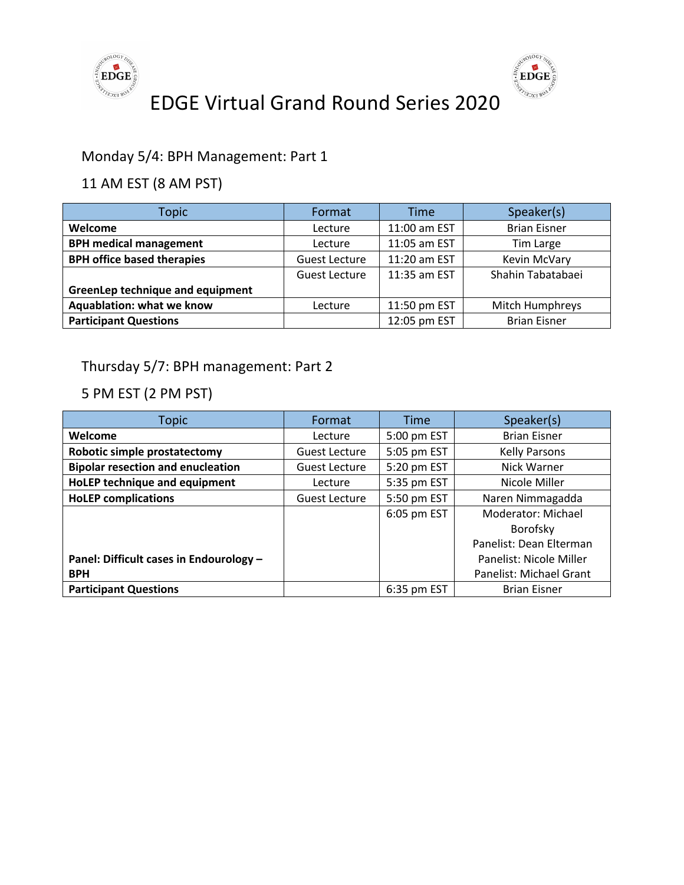



#### Monday 5/4: BPH Management: Part 1

#### 11 AM EST (8 AM PST)

| Topic                             | Format               | <b>Time</b>    | Speaker(s)          |
|-----------------------------------|----------------------|----------------|---------------------|
| Welcome                           | Lecture              | 11:00 am EST   | <b>Brian Eisner</b> |
| <b>BPH medical management</b>     | Lecture              | 11:05 am EST   | Tim Large           |
| <b>BPH office based therapies</b> | <b>Guest Lecture</b> | 11:20 am EST   | Kevin McVary        |
|                                   | Guest Lecture        | $11:35$ am EST | Shahin Tabatabaei   |
| GreenLep technique and equipment  |                      |                |                     |
| Aquablation: what we know         | Lecture              | 11:50 pm EST   | Mitch Humphreys     |
| <b>Participant Questions</b>      |                      | 12:05 pm EST   | <b>Brian Eisner</b> |

Thursday 5/7: BPH management: Part 2

| <b>Topic</b>                             | Format               | <b>Time</b> | Speaker(s)              |
|------------------------------------------|----------------------|-------------|-------------------------|
| Welcome                                  | Lecture              | 5:00 pm EST | <b>Brian Eisner</b>     |
| Robotic simple prostatectomy             | <b>Guest Lecture</b> | 5:05 pm EST | <b>Kelly Parsons</b>    |
| <b>Bipolar resection and enucleation</b> | Guest Lecture        | 5:20 pm EST | Nick Warner             |
| HoLEP technique and equipment            | Lecture              | 5:35 pm EST | Nicole Miller           |
| <b>HoLEP</b> complications               | <b>Guest Lecture</b> | 5:50 pm EST | Naren Nimmagadda        |
|                                          |                      | 6:05 pm EST | Moderator: Michael      |
|                                          |                      |             | Borofsky                |
|                                          |                      |             | Panelist: Dean Elterman |
| Panel: Difficult cases in Endourology -  |                      |             | Panelist: Nicole Miller |
| <b>BPH</b>                               |                      |             | Panelist: Michael Grant |
| <b>Participant Questions</b>             |                      | 6:35 pm EST | <b>Brian Eisner</b>     |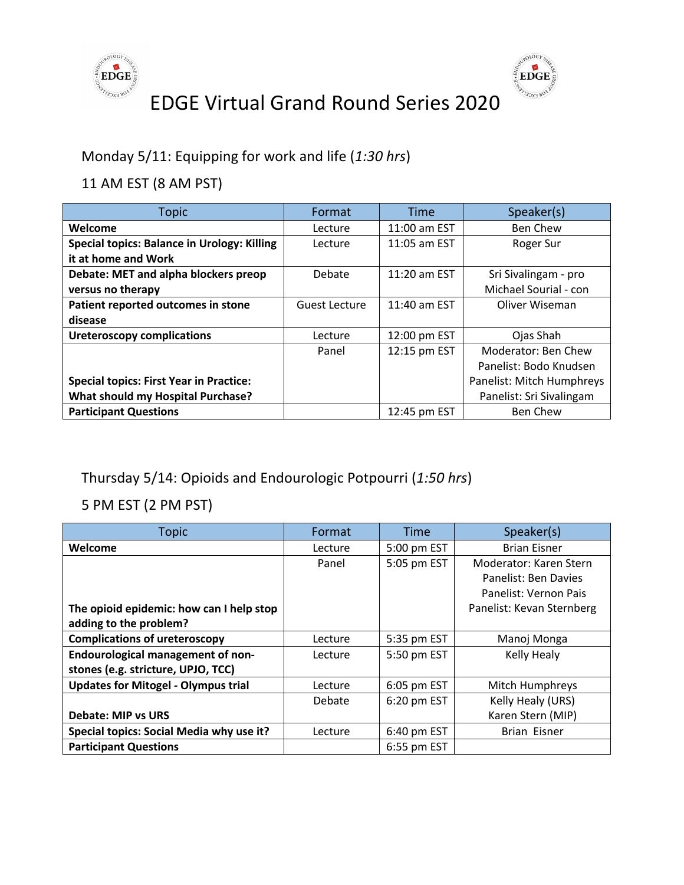



Monday 5/11: Equipping for work and life (*1:30 hrs*)

11 AM EST (8 AM PST)

| <b>Topic</b>                                       | Format        | <b>Time</b>  | Speaker(s)                |
|----------------------------------------------------|---------------|--------------|---------------------------|
| Welcome                                            | Lecture       | 11:00 am EST | <b>Ben Chew</b>           |
| <b>Special topics: Balance in Urology: Killing</b> | Lecture       | 11:05 am EST | Roger Sur                 |
| it at home and Work                                |               |              |                           |
| Debate: MET and alpha blockers preop               | Debate        | 11:20 am EST | Sri Sivalingam - pro      |
| versus no therapy                                  |               |              | Michael Sourial - con     |
| Patient reported outcomes in stone                 | Guest Lecture | 11:40 am EST | Oliver Wiseman            |
| disease                                            |               |              |                           |
| <b>Ureteroscopy complications</b>                  | Lecture       | 12:00 pm EST | Ojas Shah                 |
|                                                    | Panel         | 12:15 pm EST | Moderator: Ben Chew       |
|                                                    |               |              | Panelist: Bodo Knudsen    |
| <b>Special topics: First Year in Practice:</b>     |               |              | Panelist: Mitch Humphreys |
| <b>What should my Hospital Purchase?</b>           |               |              | Panelist: Sri Sivalingam  |
| <b>Participant Questions</b>                       |               | 12:45 pm EST | <b>Ben Chew</b>           |

#### Thursday 5/14: Opioids and Endourologic Potpourri (*1:50 hrs*)

| Topic                                      | Format  | Time        | Speaker(s)                |
|--------------------------------------------|---------|-------------|---------------------------|
| Welcome                                    | Lecture | 5:00 pm EST | <b>Brian Eisner</b>       |
|                                            | Panel   | 5:05 pm EST | Moderator: Karen Stern    |
|                                            |         |             | Panelist: Ben Davies      |
|                                            |         |             | Panelist: Vernon Pais     |
| The opioid epidemic: how can I help stop   |         |             | Panelist: Kevan Sternberg |
| adding to the problem?                     |         |             |                           |
| <b>Complications of ureteroscopy</b>       | Lecture | 5:35 pm EST | Manoj Monga               |
| <b>Endourological management of non-</b>   | Lecture | 5:50 pm EST | Kelly Healy               |
| stones (e.g. stricture, UPJO, TCC)         |         |             |                           |
| <b>Updates for Mitogel - Olympus trial</b> | Lecture | 6:05 pm EST | Mitch Humphreys           |
|                                            | Debate  | 6:20 pm EST | Kelly Healy (URS)         |
| <b>Debate: MIP vs URS</b>                  |         |             | Karen Stern (MIP)         |
| Special topics: Social Media why use it?   | Lecture | 6:40 pm EST | Brian Eisner              |
| <b>Participant Questions</b>               |         | 6:55 pm EST |                           |